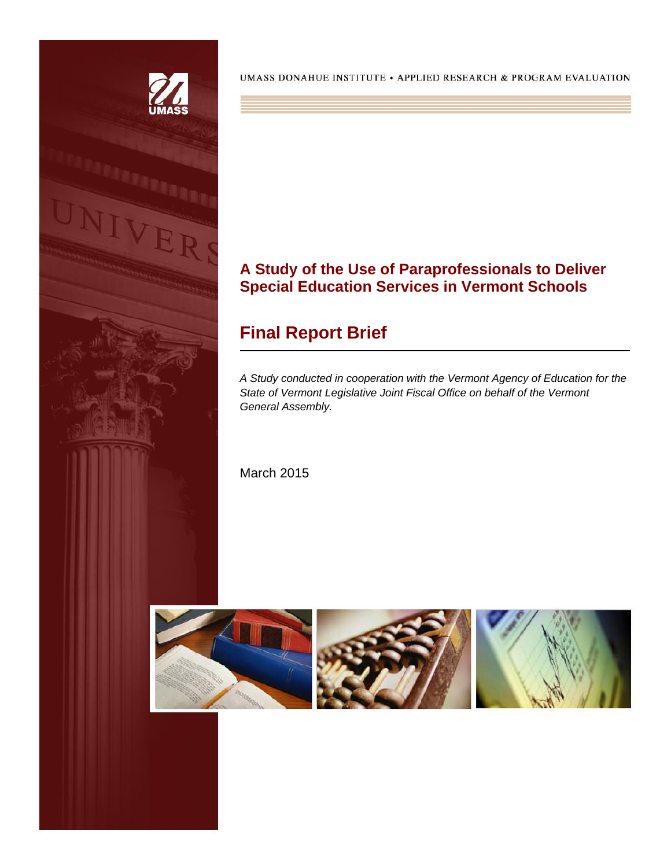

UMASS DONAHUE INSTITUTE • APPLIED RESEARCH & PROGRAM EVALUATION

## **A Study of the Use of Paraprofessionals to Deliver Special Education Services in Vermont Schools**

# **Final Report Brief**

*A Study conducted in cooperation with the Vermont Agency of Education for the State of Vermont Legislative Joint Fiscal Office on behalf of the Vermont General Assembly.*

March 2015

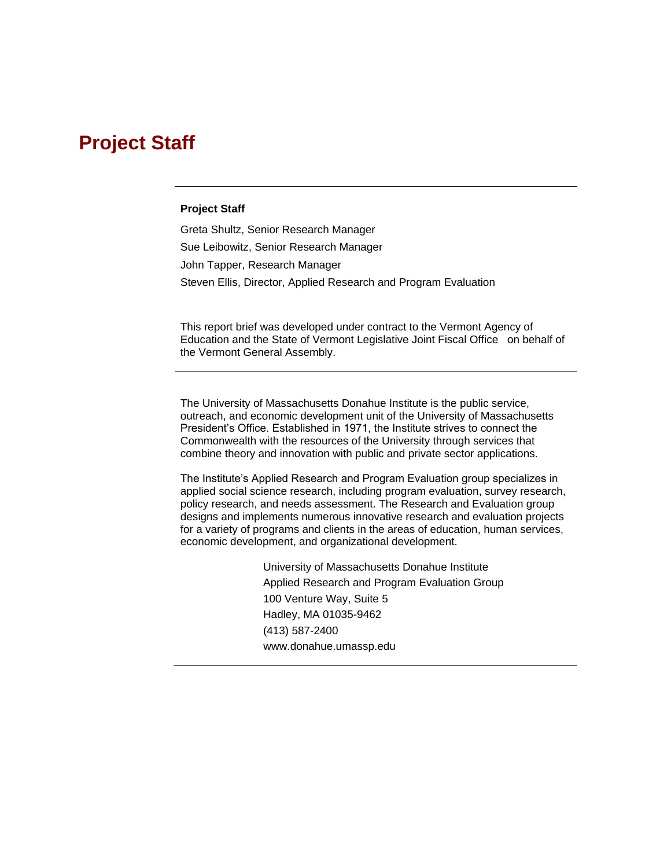# **Project Staff**

#### **Project Staff**

Greta Shultz, Senior Research Manager Sue Leibowitz, Senior Research Manager John Tapper, Research Manager Steven Ellis, Director, Applied Research and Program Evaluation

This report brief was developed under contract to the Vermont Agency of Education and the State of Vermont Legislative Joint Fiscal Office on behalf of the Vermont General Assembly.

The University of Massachusetts Donahue Institute is the public service, outreach, and economic development unit of the University of Massachusetts President's Office. Established in 1971, the Institute strives to connect the Commonwealth with the resources of the University through services that combine theory and innovation with public and private sector applications.

The Institute's Applied Research and Program Evaluation group specializes in applied social science research, including program evaluation, survey research, policy research, and needs assessment. The Research and Evaluation group designs and implements numerous innovative research and evaluation projects for a variety of programs and clients in the areas of education, human services, economic development, and organizational development.

> University of Massachusetts Donahue Institute Applied Research and Program Evaluation Group 100 Venture Way, Suite 5 Hadley, MA 01035-9462 (413) 587-2400 www.donahue.umassp.edu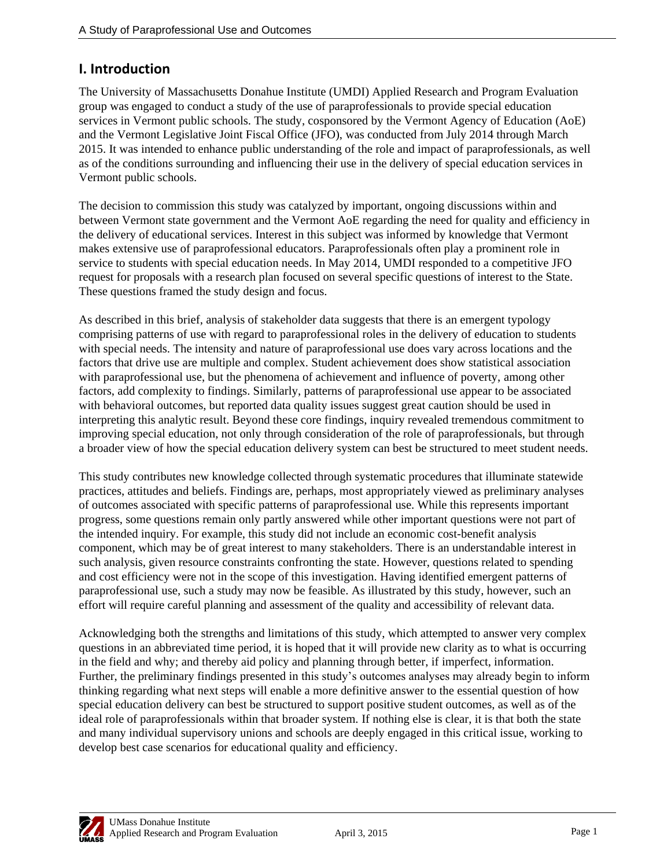## **I. Introduction**

The University of Massachusetts Donahue Institute (UMDI) Applied Research and Program Evaluation group was engaged to conduct a study of the use of paraprofessionals to provide special education services in Vermont public schools. The study, cosponsored by the Vermont Agency of Education (AoE) and the Vermont Legislative Joint Fiscal Office (JFO), was conducted from July 2014 through March 2015. It was intended to enhance public understanding of the role and impact of paraprofessionals, as well as of the conditions surrounding and influencing their use in the delivery of special education services in Vermont public schools.

The decision to commission this study was catalyzed by important, ongoing discussions within and between Vermont state government and the Vermont AoE regarding the need for quality and efficiency in the delivery of educational services. Interest in this subject was informed by knowledge that Vermont makes extensive use of paraprofessional educators. Paraprofessionals often play a prominent role in service to students with special education needs. In May 2014, UMDI responded to a competitive JFO request for proposals with a research plan focused on several specific questions of interest to the State. These questions framed the study design and focus.

As described in this brief, analysis of stakeholder data suggests that there is an emergent typology comprising patterns of use with regard to paraprofessional roles in the delivery of education to students with special needs. The intensity and nature of paraprofessional use does vary across locations and the factors that drive use are multiple and complex. Student achievement does show statistical association with paraprofessional use, but the phenomena of achievement and influence of poverty, among other factors, add complexity to findings. Similarly, patterns of paraprofessional use appear to be associated with behavioral outcomes, but reported data quality issues suggest great caution should be used in interpreting this analytic result. Beyond these core findings, inquiry revealed tremendous commitment to improving special education, not only through consideration of the role of paraprofessionals, but through a broader view of how the special education delivery system can best be structured to meet student needs.

This study contributes new knowledge collected through systematic procedures that illuminate statewide practices, attitudes and beliefs. Findings are, perhaps, most appropriately viewed as preliminary analyses of outcomes associated with specific patterns of paraprofessional use. While this represents important progress, some questions remain only partly answered while other important questions were not part of the intended inquiry. For example, this study did not include an economic cost-benefit analysis component, which may be of great interest to many stakeholders. There is an understandable interest in such analysis, given resource constraints confronting the state. However, questions related to spending and cost efficiency were not in the scope of this investigation. Having identified emergent patterns of paraprofessional use, such a study may now be feasible. As illustrated by this study, however, such an effort will require careful planning and assessment of the quality and accessibility of relevant data.

Acknowledging both the strengths and limitations of this study, which attempted to answer very complex questions in an abbreviated time period, it is hoped that it will provide new clarity as to what is occurring in the field and why; and thereby aid policy and planning through better, if imperfect, information. Further, the preliminary findings presented in this study's outcomes analyses may already begin to inform thinking regarding what next steps will enable a more definitive answer to the essential question of how special education delivery can best be structured to support positive student outcomes, as well as of the ideal role of paraprofessionals within that broader system. If nothing else is clear, it is that both the state and many individual supervisory unions and schools are deeply engaged in this critical issue, working to develop best case scenarios for educational quality and efficiency.

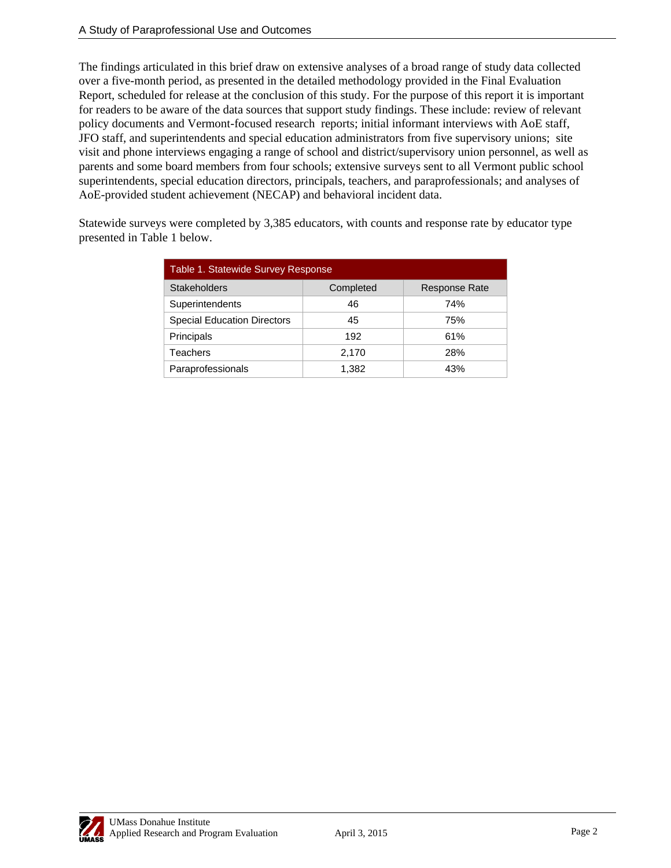The findings articulated in this brief draw on extensive analyses of a broad range of study data collected over a five-month period, as presented in the detailed methodology provided in the Final Evaluation Report, scheduled for release at the conclusion of this study. For the purpose of this report it is important for readers to be aware of the data sources that support study findings. These include: review of relevant policy documents and Vermont-focused research reports; initial informant interviews with AoE staff, JFO staff, and superintendents and special education administrators from five supervisory unions; site visit and phone interviews engaging a range of school and district/supervisory union personnel, as well as parents and some board members from four schools; extensive surveys sent to all Vermont public school superintendents, special education directors, principals, teachers, and paraprofessionals; and analyses of AoE-provided student achievement (NECAP) and behavioral incident data.

Statewide surveys were completed by 3,385 educators, with counts and response rate by educator type presented in Table 1 below.

| Table 1. Statewide Survey Response |           |                      |
|------------------------------------|-----------|----------------------|
| <b>Stakeholders</b>                | Completed | <b>Response Rate</b> |
| Superintendents                    | 46        | 74%                  |
| <b>Special Education Directors</b> | 45        | 75%                  |
| Principals                         | 192       | 61%                  |
| <b>Teachers</b>                    | 2,170     | 28%                  |
| Paraprofessionals                  | 1,382     | 43%                  |

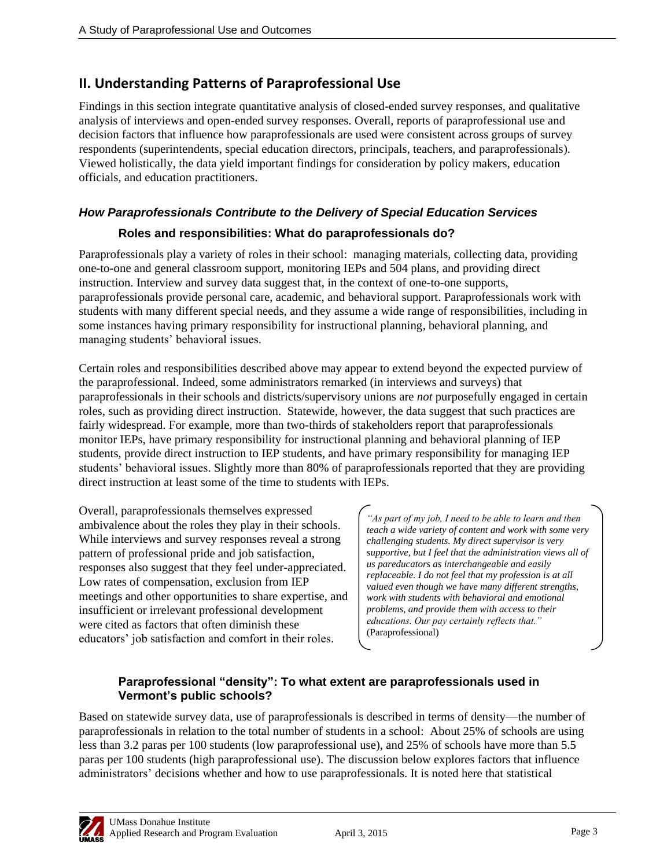## **II. Understanding Patterns of Paraprofessional Use**

Findings in this section integrate quantitative analysis of closed-ended survey responses, and qualitative analysis of interviews and open-ended survey responses. Overall, reports of paraprofessional use and decision factors that influence how paraprofessionals are used were consistent across groups of survey respondents (superintendents, special education directors, principals, teachers, and paraprofessionals). Viewed holistically, the data yield important findings for consideration by policy makers, education officials, and education practitioners.

#### *How Paraprofessionals Contribute to the Delivery of Special Education Services*

#### **Roles and responsibilities: What do paraprofessionals do?**

Paraprofessionals play a variety of roles in their school: managing materials, collecting data, providing one-to-one and general classroom support, monitoring IEPs and 504 plans, and providing direct instruction. Interview and survey data suggest that, in the context of one-to-one supports, paraprofessionals provide personal care, academic, and behavioral support. Paraprofessionals work with students with many different special needs, and they assume a wide range of responsibilities, including in some instances having primary responsibility for instructional planning, behavioral planning, and managing students' behavioral issues.

Certain roles and responsibilities described above may appear to extend beyond the expected purview of the paraprofessional. Indeed, some administrators remarked (in interviews and surveys) that paraprofessionals in their schools and districts/supervisory unions are *not* purposefully engaged in certain roles, such as providing direct instruction. Statewide, however, the data suggest that such practices are fairly widespread. For example, more than two-thirds of stakeholders report that paraprofessionals monitor IEPs, have primary responsibility for instructional planning and behavioral planning of IEP students, provide direct instruction to IEP students, and have primary responsibility for managing IEP students' behavioral issues. Slightly more than 80% of paraprofessionals reported that they are providing direct instruction at least some of the time to students with IEPs.

Overall, paraprofessionals themselves expressed ambivalence about the roles they play in their schools. While interviews and survey responses reveal a strong pattern of professional pride and job satisfaction, responses also suggest that they feel under-appreciated. Low rates of compensation, exclusion from IEP meetings and other opportunities to share expertise, and insufficient or irrelevant professional development were cited as factors that often diminish these educators' job satisfaction and comfort in their roles.

*"As part of my job, I need to be able to learn and then teach a wide variety of content and work with some very challenging students. My direct supervisor is very supportive, but I feel that the administration views all of us pareducators as interchangeable and easily replaceable. I do not feel that my profession is at all valued even though we have many different strengths, work with students with behavioral and emotional problems, and provide them with access to their educations. Our pay certainly reflects that."* (Paraprofessional)

#### **Paraprofessional "density": To what extent are paraprofessionals used in Vermont's public schools?**

Based on statewide survey data, use of paraprofessionals is described in terms of density—the number of paraprofessionals in relation to the total number of students in a school: About 25% of schools are using less than 3.2 paras per 100 students (low paraprofessional use), and 25% of schools have more than 5.5 paras per 100 students (high paraprofessional use). The discussion below explores factors that influence administrators' decisions whether and how to use paraprofessionals. It is noted here that statistical

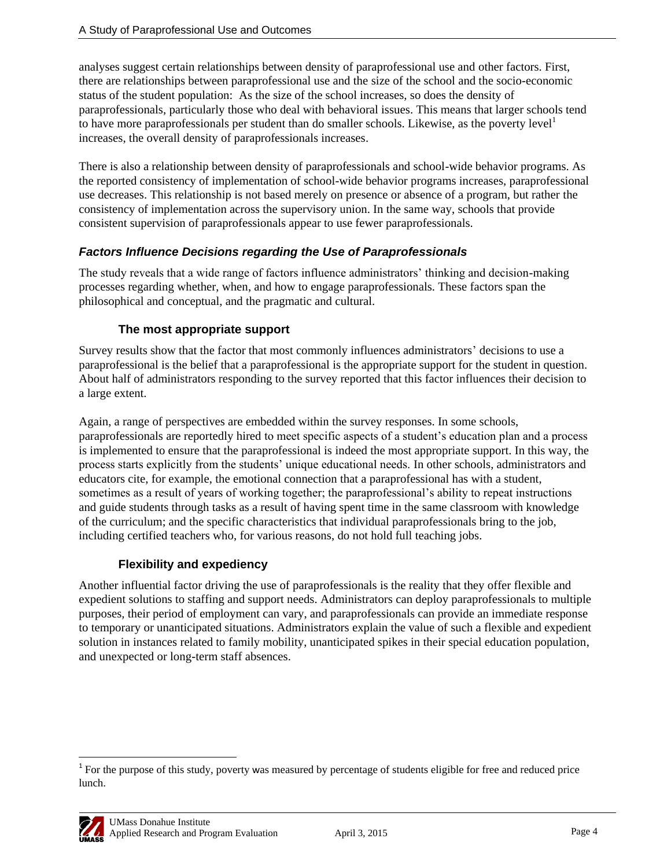analyses suggest certain relationships between density of paraprofessional use and other factors. First, there are relationships between paraprofessional use and the size of the school and the socio-economic status of the student population: As the size of the school increases, so does the density of paraprofessionals, particularly those who deal with behavioral issues. This means that larger schools tend to have more paraprofessionals per student than do smaller schools. Likewise, as the poverty level<sup>1</sup> increases, the overall density of paraprofessionals increases.

There is also a relationship between density of paraprofessionals and school-wide behavior programs. As the reported consistency of implementation of school-wide behavior programs increases, paraprofessional use decreases. This relationship is not based merely on presence or absence of a program, but rather the consistency of implementation across the supervisory union. In the same way, schools that provide consistent supervision of paraprofessionals appear to use fewer paraprofessionals.

### *Factors Influence Decisions regarding the Use of Paraprofessionals*

The study reveals that a wide range of factors influence administrators' thinking and decision-making processes regarding whether, when, and how to engage paraprofessionals. These factors span the philosophical and conceptual, and the pragmatic and cultural.

### **The most appropriate support**

Survey results show that the factor that most commonly influences administrators' decisions to use a paraprofessional is the belief that a paraprofessional is the appropriate support for the student in question. About half of administrators responding to the survey reported that this factor influences their decision to a large extent.

Again, a range of perspectives are embedded within the survey responses. In some schools, paraprofessionals are reportedly hired to meet specific aspects of a student's education plan and a process is implemented to ensure that the paraprofessional is indeed the most appropriate support. In this way, the process starts explicitly from the students' unique educational needs. In other schools, administrators and educators cite, for example, the emotional connection that a paraprofessional has with a student, sometimes as a result of years of working together; the paraprofessional's ability to repeat instructions and guide students through tasks as a result of having spent time in the same classroom with knowledge of the curriculum; and the specific characteristics that individual paraprofessionals bring to the job, including certified teachers who, for various reasons, do not hold full teaching jobs.

## **Flexibility and expediency**

Another influential factor driving the use of paraprofessionals is the reality that they offer flexible and expedient solutions to staffing and support needs. Administrators can deploy paraprofessionals to multiple purposes, their period of employment can vary, and paraprofessionals can provide an immediate response to temporary or unanticipated situations. Administrators explain the value of such a flexible and expedient solution in instances related to family mobility, unanticipated spikes in their special education population, and unexpected or long-term staff absences.

 $\overline{\phantom{a}}$ <sup>1</sup> For the purpose of this study, poverty was measured by percentage of students eligible for free and reduced price lunch.

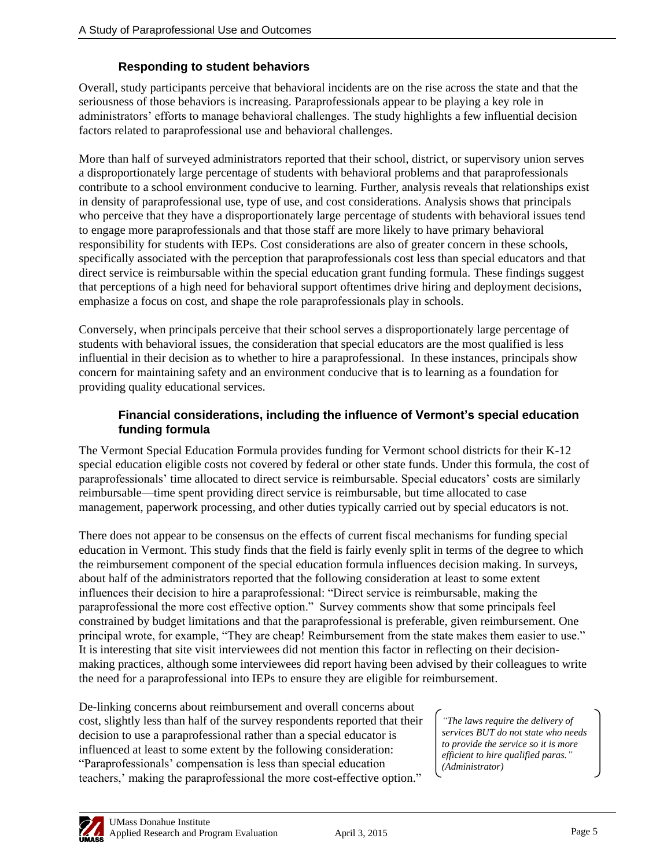### **Responding to student behaviors**

Overall, study participants perceive that behavioral incidents are on the rise across the state and that the seriousness of those behaviors is increasing. Paraprofessionals appear to be playing a key role in administrators' efforts to manage behavioral challenges. The study highlights a few influential decision factors related to paraprofessional use and behavioral challenges.

More than half of surveyed administrators reported that their school, district, or supervisory union serves a disproportionately large percentage of students with behavioral problems and that paraprofessionals contribute to a school environment conducive to learning. Further, analysis reveals that relationships exist in density of paraprofessional use, type of use, and cost considerations. Analysis shows that principals who perceive that they have a disproportionately large percentage of students with behavioral issues tend to engage more paraprofessionals and that those staff are more likely to have primary behavioral responsibility for students with IEPs. Cost considerations are also of greater concern in these schools, specifically associated with the perception that paraprofessionals cost less than special educators and that direct service is reimbursable within the special education grant funding formula. These findings suggest that perceptions of a high need for behavioral support oftentimes drive hiring and deployment decisions, emphasize a focus on cost, and shape the role paraprofessionals play in schools.

Conversely, when principals perceive that their school serves a disproportionately large percentage of students with behavioral issues, the consideration that special educators are the most qualified is less influential in their decision as to whether to hire a paraprofessional. In these instances, principals show concern for maintaining safety and an environment conducive that is to learning as a foundation for providing quality educational services.

#### **Financial considerations, including the influence of Vermont's special education funding formula**

The Vermont Special Education Formula provides funding for Vermont school districts for their K-12 special education eligible costs not covered by federal or other state funds. Under this formula, the cost of paraprofessionals' time allocated to direct service is reimbursable. Special educators' costs are similarly reimbursable—time spent providing direct service is reimbursable, but time allocated to case management, paperwork processing, and other duties typically carried out by special educators is not.

There does not appear to be consensus on the effects of current fiscal mechanisms for funding special education in Vermont. This study finds that the field is fairly evenly split in terms of the degree to which the reimbursement component of the special education formula influences decision making. In surveys, about half of the administrators reported that the following consideration at least to some extent influences their decision to hire a paraprofessional: "Direct service is reimbursable, making the paraprofessional the more cost effective option." Survey comments show that some principals feel constrained by budget limitations and that the paraprofessional is preferable, given reimbursement. One principal wrote, for example, "They are cheap! Reimbursement from the state makes them easier to use." It is interesting that site visit interviewees did not mention this factor in reflecting on their decisionmaking practices, although some interviewees did report having been advised by their colleagues to write the need for a paraprofessional into IEPs to ensure they are eligible for reimbursement.

De-linking concerns about reimbursement and overall concerns about cost, slightly less than half of the survey respondents reported that their decision to use a paraprofessional rather than a special educator is influenced at least to some extent by the following consideration: ―Paraprofessionals' compensation is less than special education teachers,' making the paraprofessional the more cost-effective option."

*"The laws require the delivery of services BUT do not state who needs to provide the service so it is more efficient to hire qualified paras." (Administrator)*

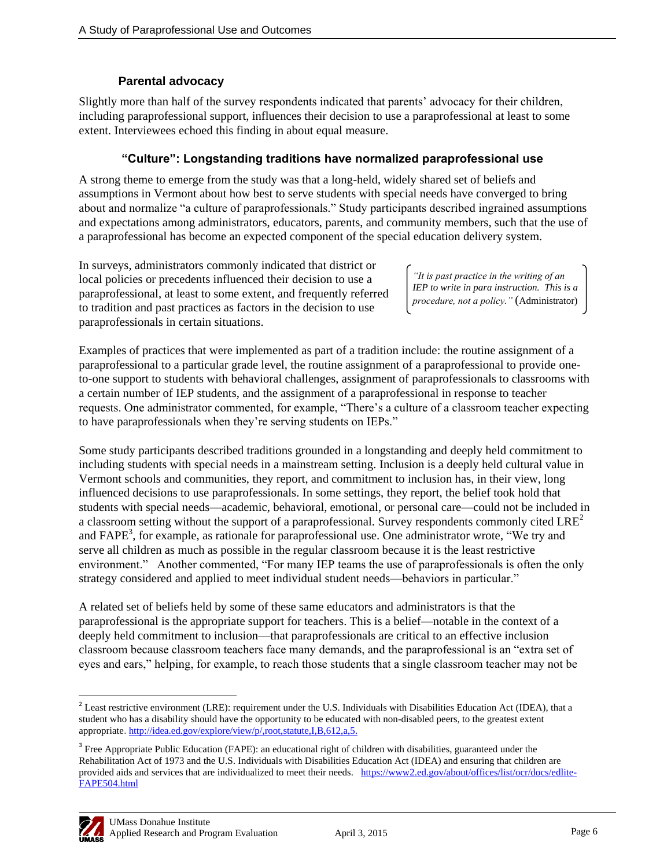#### **Parental advocacy**

Slightly more than half of the survey respondents indicated that parents' advocacy for their children, including paraprofessional support, influences their decision to use a paraprofessional at least to some extent. Interviewees echoed this finding in about equal measure.

#### **"Culture": Longstanding traditions have normalized paraprofessional use**

A strong theme to emerge from the study was that a long-held, widely shared set of beliefs and assumptions in Vermont about how best to serve students with special needs have converged to bring about and normalize "a culture of paraprofessionals." Study participants described ingrained assumptions and expectations among administrators, educators, parents, and community members, such that the use of a paraprofessional has become an expected component of the special education delivery system.

In surveys, administrators commonly indicated that district or local policies or precedents influenced their decision to use a paraprofessional, at least to some extent, and frequently referred to tradition and past practices as factors in the decision to use paraprofessionals in certain situations.

*"It is past practice in the writing of an IEP to write in para instruction. This is a procedure, not a policy."* (Administrator)

Examples of practices that were implemented as part of a tradition include: the routine assignment of a paraprofessional to a particular grade level, the routine assignment of a paraprofessional to provide oneto-one support to students with behavioral challenges, assignment of paraprofessionals to classrooms with a certain number of IEP students, and the assignment of a paraprofessional in response to teacher requests. One administrator commented, for example, "There's a culture of a classroom teacher expecting to have paraprofessionals when they're serving students on IEPs."

Some study participants described traditions grounded in a longstanding and deeply held commitment to including students with special needs in a mainstream setting. Inclusion is a deeply held cultural value in Vermont schools and communities, they report, and commitment to inclusion has, in their view, long influenced decisions to use paraprofessionals. In some settings, they report, the belief took hold that students with special needs—academic, behavioral, emotional, or personal care—could not be included in a classroom setting without the support of a paraprofessional. Survey respondents commonly cited LRE<sup>2</sup> and FAPE<sup>3</sup>, for example, as rationale for paraprofessional use. One administrator wrote, "We try and serve all children as much as possible in the regular classroom because it is the least restrictive environment." Another commented, "For many IEP teams the use of paraprofessionals is often the only strategy considered and applied to meet individual student needs—behaviors in particular."

A related set of beliefs held by some of these same educators and administrators is that the paraprofessional is the appropriate support for teachers. This is a belief—notable in the context of a deeply held commitment to inclusion—that paraprofessionals are critical to an effective inclusion classroom because classroom teachers face many demands, and the paraprofessional is an "extra set of eyes and ears," helping, for example, to reach those students that a single classroom teacher may not be

<sup>&</sup>lt;sup>3</sup> Free Appropriate Public Education (FAPE): an educational right of children with disabilities, guaranteed under the Rehabilitation Act of 1973 and the U.S. Individuals with Disabilities Education Act (IDEA) and ensuring that children are provided aids and services that are individualized to meet their needs. [https://www2.ed.gov/about/offices/list/ocr/docs/edlite-](https://www2.ed.gov/about/offices/list/ocr/docs/edlite-FAPE504.html)[FAPE504.html](https://www2.ed.gov/about/offices/list/ocr/docs/edlite-FAPE504.html)



 $\overline{\phantom{a}}$  $2^{2}$  Least restrictive environment (LRE): requirement under the U.S. Individuals with Disabilities Education Act (IDEA), that a student who has a disability should have the opportunity to be educated with non-disabled peers, to the greatest extent appropriate. [http://idea.ed.gov/explore/view/p/,root,statute,I,B,612,a,5.](http://idea.ed.gov/explore/view/p/,root,statute,I,B,612,a,5)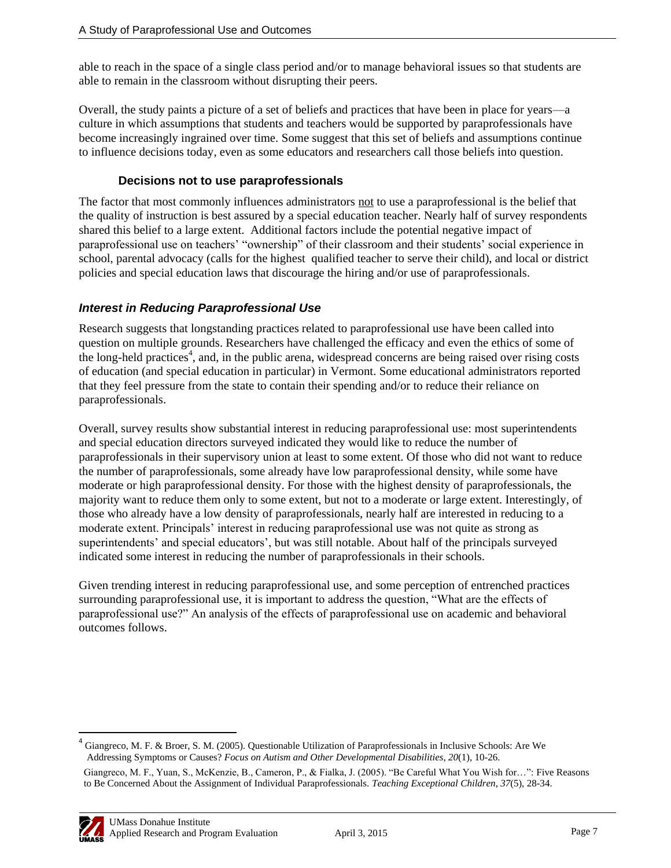able to reach in the space of a single class period and/or to manage behavioral issues so that students are able to remain in the classroom without disrupting their peers.

Overall, the study paints a picture of a set of beliefs and practices that have been in place for years—a culture in which assumptions that students and teachers would be supported by paraprofessionals have become increasingly ingrained over time. Some suggest that this set of beliefs and assumptions continue to influence decisions today, even as some educators and researchers call those beliefs into question.

#### **Decisions not to use paraprofessionals**

The factor that most commonly influences administrators not to use a paraprofessional is the belief that the quality of instruction is best assured by a special education teacher. Nearly half of survey respondents shared this belief to a large extent. Additional factors include the potential negative impact of paraprofessional use on teachers' "ownership" of their classroom and their students' social experience in school, parental advocacy (calls for the highest qualified teacher to serve their child), and local or district policies and special education laws that discourage the hiring and/or use of paraprofessionals.

### *Interest in Reducing Paraprofessional Use*

Research suggests that longstanding practices related to paraprofessional use have been called into question on multiple grounds. Researchers have challenged the efficacy and even the ethics of some of the long-held practices<sup>4</sup>, and, in the public arena, widespread concerns are being raised over rising costs of education (and special education in particular) in Vermont. Some educational administrators reported that they feel pressure from the state to contain their spending and/or to reduce their reliance on paraprofessionals.

Overall, survey results show substantial interest in reducing paraprofessional use: most superintendents and special education directors surveyed indicated they would like to reduce the number of paraprofessionals in their supervisory union at least to some extent. Of those who did not want to reduce the number of paraprofessionals, some already have low paraprofessional density, while some have moderate or high paraprofessional density. For those with the highest density of paraprofessionals, the majority want to reduce them only to some extent, but not to a moderate or large extent. Interestingly, of those who already have a low density of paraprofessionals, nearly half are interested in reducing to a moderate extent. Principals' interest in reducing paraprofessional use was not quite as strong as superintendents' and special educators', but was still notable. About half of the principals surveyed indicated some interest in reducing the number of paraprofessionals in their schools.

Given trending interest in reducing paraprofessional use, and some perception of entrenched practices surrounding paraprofessional use, it is important to address the question, "What are the effects of paraprofessional use?‖ An analysis of the effects of paraprofessional use on academic and behavioral outcomes follows.

<sup>&</sup>lt;sup>4</sup> Giangreco, M. F. & Broer, S. M. (2005). Questionable Utilization of Paraprofessionals in Inclusive Schools: Are We Addressing Symptoms or Causes? *Focus on Autism and Other Developmental Disabilities*, *20*(1), 10-26. Giangreco, M. F., Yuan, S., McKenzie, B., Cameron, P., & Fialka, J. (2005). "Be Careful What You Wish for...": Five Reasons to Be Concerned About the Assignment of Individual Paraprofessionals. *Teaching Exceptional Children*, *37*(5), 28-34.



 $\overline{a}$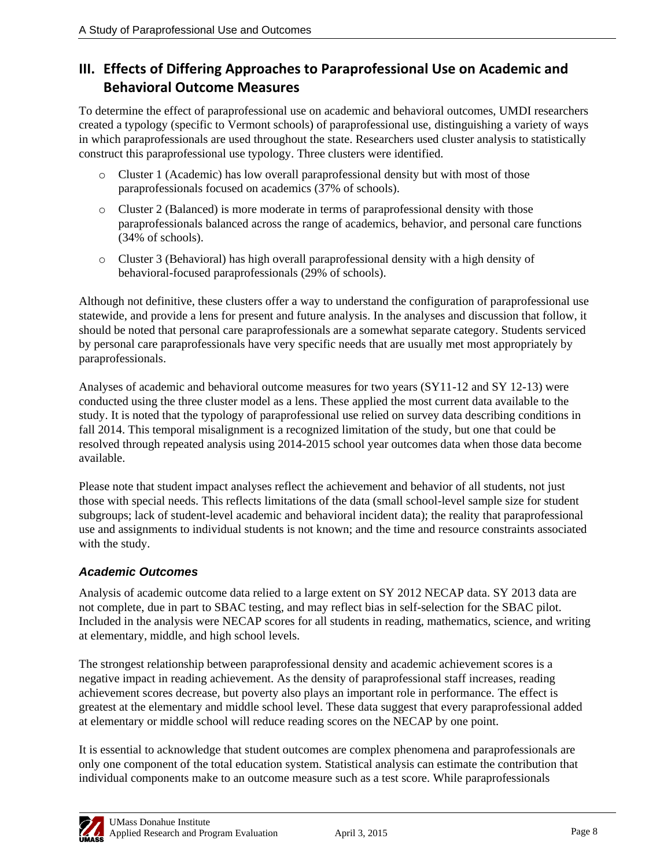## **III. Effects of Differing Approaches to Paraprofessional Use on Academic and Behavioral Outcome Measures**

To determine the effect of paraprofessional use on academic and behavioral outcomes, UMDI researchers created a typology (specific to Vermont schools) of paraprofessional use, distinguishing a variety of ways in which paraprofessionals are used throughout the state. Researchers used cluster analysis to statistically construct this paraprofessional use typology. Three clusters were identified.

- o Cluster 1 (Academic) has low overall paraprofessional density but with most of those paraprofessionals focused on academics (37% of schools).
- o Cluster 2 (Balanced) is more moderate in terms of paraprofessional density with those paraprofessionals balanced across the range of academics, behavior, and personal care functions (34% of schools).
- o Cluster 3 (Behavioral) has high overall paraprofessional density with a high density of behavioral-focused paraprofessionals (29% of schools).

Although not definitive, these clusters offer a way to understand the configuration of paraprofessional use statewide, and provide a lens for present and future analysis. In the analyses and discussion that follow, it should be noted that personal care paraprofessionals are a somewhat separate category. Students serviced by personal care paraprofessionals have very specific needs that are usually met most appropriately by paraprofessionals.

Analyses of academic and behavioral outcome measures for two years (SY11-12 and SY 12-13) were conducted using the three cluster model as a lens. These applied the most current data available to the study. It is noted that the typology of paraprofessional use relied on survey data describing conditions in fall 2014. This temporal misalignment is a recognized limitation of the study, but one that could be resolved through repeated analysis using 2014-2015 school year outcomes data when those data become available.

Please note that student impact analyses reflect the achievement and behavior of all students, not just those with special needs. This reflects limitations of the data (small school-level sample size for student subgroups; lack of student-level academic and behavioral incident data); the reality that paraprofessional use and assignments to individual students is not known; and the time and resource constraints associated with the study.

## *Academic Outcomes*

Analysis of academic outcome data relied to a large extent on SY 2012 NECAP data. SY 2013 data are not complete, due in part to SBAC testing, and may reflect bias in self-selection for the SBAC pilot. Included in the analysis were NECAP scores for all students in reading, mathematics, science, and writing at elementary, middle, and high school levels.

The strongest relationship between paraprofessional density and academic achievement scores is a negative impact in reading achievement. As the density of paraprofessional staff increases, reading achievement scores decrease, but poverty also plays an important role in performance. The effect is greatest at the elementary and middle school level. These data suggest that every paraprofessional added at elementary or middle school will reduce reading scores on the NECAP by one point.

It is essential to acknowledge that student outcomes are complex phenomena and paraprofessionals are only one component of the total education system. Statistical analysis can estimate the contribution that individual components make to an outcome measure such as a test score. While paraprofessionals

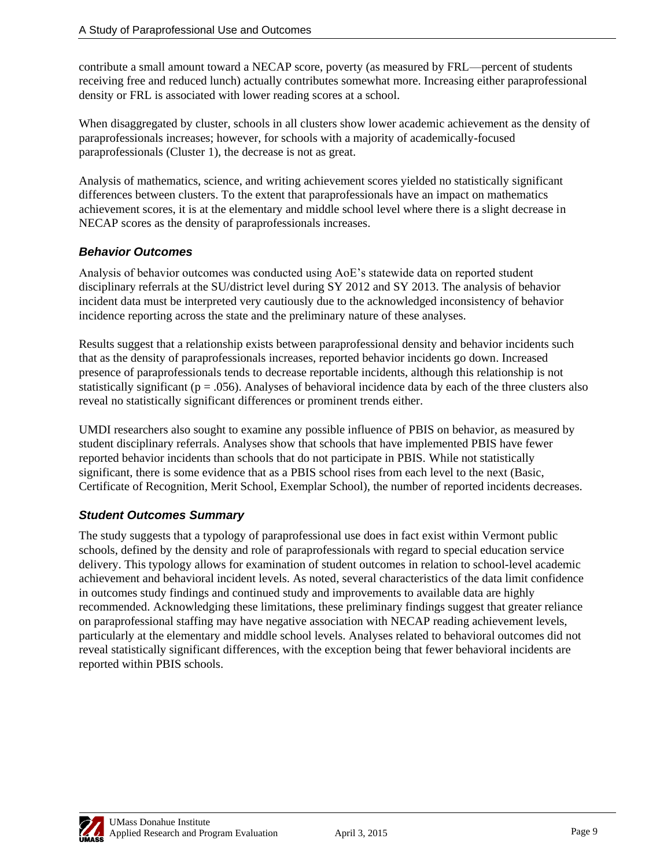contribute a small amount toward a NECAP score, poverty (as measured by FRL—percent of students receiving free and reduced lunch) actually contributes somewhat more. Increasing either paraprofessional density or FRL is associated with lower reading scores at a school.

When disaggregated by cluster, schools in all clusters show lower academic achievement as the density of paraprofessionals increases; however, for schools with a majority of academically-focused paraprofessionals (Cluster 1), the decrease is not as great.

Analysis of mathematics, science, and writing achievement scores yielded no statistically significant differences between clusters. To the extent that paraprofessionals have an impact on mathematics achievement scores, it is at the elementary and middle school level where there is a slight decrease in NECAP scores as the density of paraprofessionals increases.

### *Behavior Outcomes*

Analysis of behavior outcomes was conducted using AoE's statewide data on reported student disciplinary referrals at the SU/district level during SY 2012 and SY 2013. The analysis of behavior incident data must be interpreted very cautiously due to the acknowledged inconsistency of behavior incidence reporting across the state and the preliminary nature of these analyses.

Results suggest that a relationship exists between paraprofessional density and behavior incidents such that as the density of paraprofessionals increases, reported behavior incidents go down. Increased presence of paraprofessionals tends to decrease reportable incidents, although this relationship is not statistically significant ( $p = 0.056$ ). Analyses of behavioral incidence data by each of the three clusters also reveal no statistically significant differences or prominent trends either.

UMDI researchers also sought to examine any possible influence of PBIS on behavior, as measured by student disciplinary referrals. Analyses show that schools that have implemented PBIS have fewer reported behavior incidents than schools that do not participate in PBIS. While not statistically significant, there is some evidence that as a PBIS school rises from each level to the next (Basic, Certificate of Recognition, Merit School, Exemplar School), the number of reported incidents decreases.

## *Student Outcomes Summary*

The study suggests that a typology of paraprofessional use does in fact exist within Vermont public schools, defined by the density and role of paraprofessionals with regard to special education service delivery. This typology allows for examination of student outcomes in relation to school-level academic achievement and behavioral incident levels. As noted, several characteristics of the data limit confidence in outcomes study findings and continued study and improvements to available data are highly recommended. Acknowledging these limitations, these preliminary findings suggest that greater reliance on paraprofessional staffing may have negative association with NECAP reading achievement levels, particularly at the elementary and middle school levels. Analyses related to behavioral outcomes did not reveal statistically significant differences, with the exception being that fewer behavioral incidents are reported within PBIS schools.

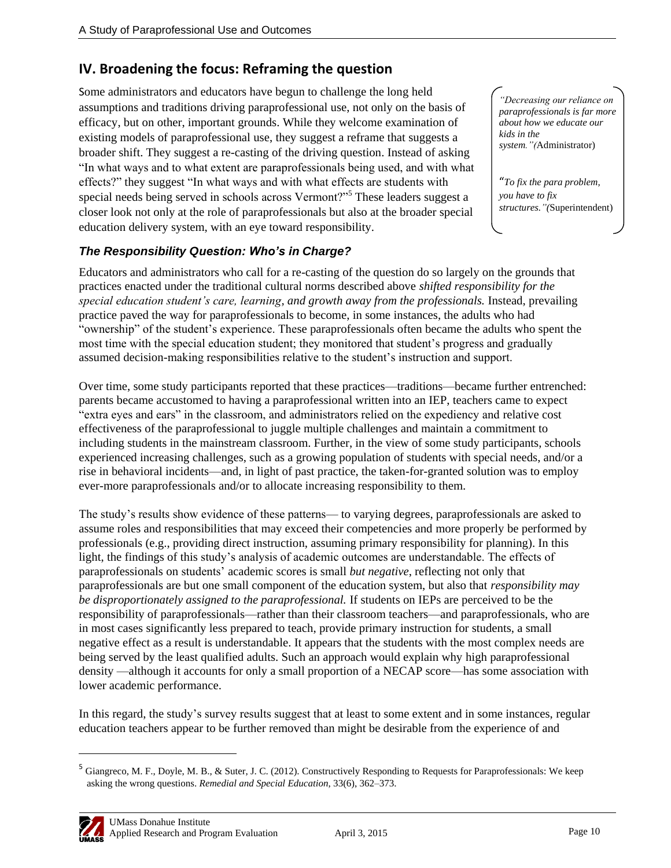## **IV. Broadening the focus: Reframing the question**

Some administrators and educators have begun to challenge the long held assumptions and traditions driving paraprofessional use, not only on the basis of efficacy, but on other, important grounds. While they welcome examination of existing models of paraprofessional use, they suggest a reframe that suggests a broader shift. They suggest a re-casting of the driving question. Instead of asking "In what ways and to what extent are paraprofessionals being used, and with what effects?" they suggest "In what ways and with what effects are students with special needs being served in schools across Vermont?"<sup>5</sup> These leaders suggest a closer look not only at the role of paraprofessionals but also at the broader special education delivery system, with an eye toward responsibility.

*"Decreasing our reliance on paraprofessionals is far more about how we educate our kids in the system."(*Administrator)

"*To fix the para problem, you have to fix structures."(*Superintendent)

### *The Responsibility Question: Who's in Charge?*

Educators and administrators who call for a re-casting of the question do so largely on the grounds that practices enacted under the traditional cultural norms described above *shifted responsibility for the special education student's care, learning, and growth away from the professionals.* Instead, prevailing practice paved the way for paraprofessionals to become, in some instances, the adults who had "ownership" of the student's experience. These paraprofessionals often became the adults who spent the most time with the special education student; they monitored that student's progress and gradually assumed decision-making responsibilities relative to the student's instruction and support.

Over time, some study participants reported that these practices—traditions—became further entrenched: parents became accustomed to having a paraprofessional written into an IEP, teachers came to expect ―extra eyes and ears‖ in the classroom, and administrators relied on the expediency and relative cost effectiveness of the paraprofessional to juggle multiple challenges and maintain a commitment to including students in the mainstream classroom. Further, in the view of some study participants, schools experienced increasing challenges, such as a growing population of students with special needs, and/or a rise in behavioral incidents—and, in light of past practice, the taken-for-granted solution was to employ ever-more paraprofessionals and/or to allocate increasing responsibility to them.

The study's results show evidence of these patterns— to varying degrees, paraprofessionals are asked to assume roles and responsibilities that may exceed their competencies and more properly be performed by professionals (e.g., providing direct instruction, assuming primary responsibility for planning). In this light, the findings of this study's analysis of academic outcomes are understandable. The effects of paraprofessionals on students' academic scores is small *but negative*, reflecting not only that paraprofessionals are but one small component of the education system, but also that *responsibility may be disproportionately assigned to the paraprofessional.* If students on IEPs are perceived to be the responsibility of paraprofessionals—rather than their classroom teachers—and paraprofessionals, who are in most cases significantly less prepared to teach, provide primary instruction for students, a small negative effect as a result is understandable. It appears that the students with the most complex needs are being served by the least qualified adults. Such an approach would explain why high paraprofessional density —although it accounts for only a small proportion of a NECAP score—has some association with lower academic performance.

In this regard, the study's survey results suggest that at least to some extent and in some instances, regular education teachers appear to be further removed than might be desirable from the experience of and

<sup>&</sup>lt;sup>5</sup> Giangreco, M. F., Doyle, M. B., & Suter, J. C. (2012). Constructively Responding to Requests for Paraprofessionals: We keep asking the wrong questions. *Remedial and Special Education*, 33(6), 362–373.



 $\overline{a}$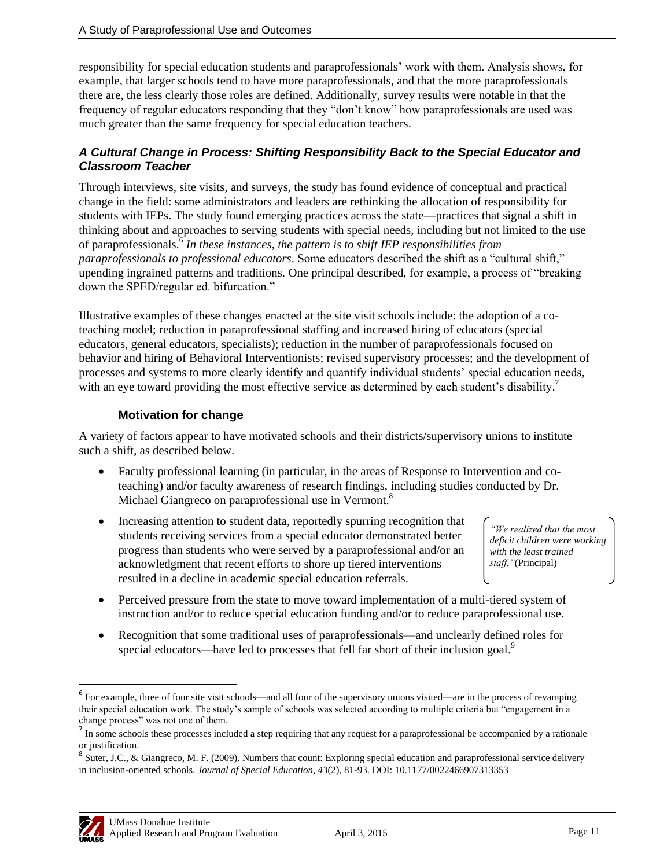responsibility for special education students and paraprofessionals' work with them. Analysis shows, for example, that larger schools tend to have more paraprofessionals, and that the more paraprofessionals there are, the less clearly those roles are defined. Additionally, survey results were notable in that the frequency of regular educators responding that they "don't know" how paraprofessionals are used was much greater than the same frequency for special education teachers.

#### *A Cultural Change in Process: Shifting Responsibility Back to the Special Educator and Classroom Teacher*

Through interviews, site visits, and surveys, the study has found evidence of conceptual and practical change in the field: some administrators and leaders are rethinking the allocation of responsibility for students with IEPs. The study found emerging practices across the state—practices that signal a shift in thinking about and approaches to serving students with special needs, including but not limited to the use of paraprofessionals. 6 *In these instances, the pattern is to shift IEP responsibilities from paraprofessionals to professional educators*. Some educators described the shift as a "cultural shift," upending ingrained patterns and traditions. One principal described, for example, a process of "breaking" down the SPED/regular ed. bifurcation."

Illustrative examples of these changes enacted at the site visit schools include: the adoption of a coteaching model; reduction in paraprofessional staffing and increased hiring of educators (special educators, general educators, specialists); reduction in the number of paraprofessionals focused on behavior and hiring of Behavioral Interventionists; revised supervisory processes; and the development of processes and systems to more clearly identify and quantify individual students' special education needs, with an eye toward providing the most effective service as determined by each student's disability.<sup>7</sup>

### **Motivation for change**

A variety of factors appear to have motivated schools and their districts/supervisory unions to institute such a shift, as described below.

- Faculty professional learning (in particular, in the areas of Response to Intervention and coteaching) and/or faculty awareness of research findings, including studies conducted by Dr. Michael Giangreco on paraprofessional use in Vermont.<sup>8</sup>
- Increasing attention to student data, reportedly spurring recognition that students receiving services from a special educator demonstrated better progress than students who were served by a paraprofessional and/or an acknowledgment that recent efforts to shore up tiered interventions resulted in a decline in academic special education referrals.

*"We realized that the most deficit children were working with the least trained staff."*(Principal)

- Perceived pressure from the state to move toward implementation of a multi-tiered system of instruction and/or to reduce special education funding and/or to reduce paraprofessional use.
- Recognition that some traditional uses of paraprofessionals—and unclearly defined roles for special educators—have led to processes that fell far short of their inclusion goal.<sup>9</sup>

<sup>&</sup>lt;sup>8</sup> Suter, J.C., & Giangreco, M. F. (2009). Numbers that count: Exploring special education and paraprofessional service delivery in inclusion-oriented schools. *Journal of Special Education, 43*(2), 81-93. DOI: 10.1177/0022466907313353



 $\overline{\phantom{a}}$ 

 $<sup>6</sup>$  For example, three of four site visit schools—and all four of the supervisory unions visited—are in the process of revamping</sup> their special education work. The study's sample of schools was selected according to multiple criteria but "engagement in a change process" was not one of them.

 $<sup>7</sup>$  In some schools these processes included a step requiring that any request for a paraprofessional be accompanied by a rationale</sup> or justification.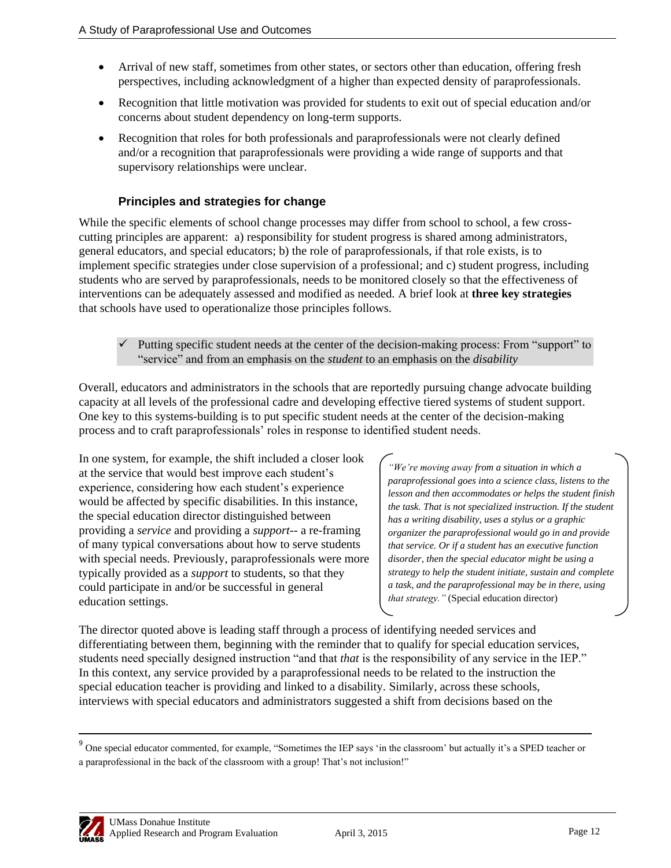- Arrival of new staff, sometimes from other states, or sectors other than education, offering fresh perspectives, including acknowledgment of a higher than expected density of paraprofessionals.
- Recognition that little motivation was provided for students to exit out of special education and/or concerns about student dependency on long-term supports.
- Recognition that roles for both professionals and paraprofessionals were not clearly defined and/or a recognition that paraprofessionals were providing a wide range of supports and that supervisory relationships were unclear.

### **Principles and strategies for change**

While the specific elements of school change processes may differ from school to school, a few crosscutting principles are apparent: a) responsibility for student progress is shared among administrators, general educators, and special educators; b) the role of paraprofessionals, if that role exists, is to implement specific strategies under close supervision of a professional; and c) student progress, including students who are served by paraprofessionals, needs to be monitored closely so that the effectiveness of interventions can be adequately assessed and modified as needed. A brief look at **three key strategies** that schools have used to operationalize those principles follows.

Putting specific student needs at the center of the decision-making process: From "support" to ―service‖ and from an emphasis on the *student* to an emphasis on the *disability*

Overall, educators and administrators in the schools that are reportedly pursuing change advocate building capacity at all levels of the professional cadre and developing effective tiered systems of student support. One key to this systems-building is to put specific student needs at the center of the decision-making process and to craft paraprofessionals' roles in response to identified student needs.

In one system, for example, the shift included a closer look at the service that would best improve each student's experience, considering how each student's experience would be affected by specific disabilities. In this instance, the special education director distinguished between providing a *service* and providing a *support--* a re-framing of many typical conversations about how to serve students with special needs*.* Previously, paraprofessionals were more typically provided as a *support* to students, so that they could participate in and/or be successful in general education settings.

*"We're moving away from a situation in which a paraprofessional goes into a science class, listens to the lesson and then accommodates or helps the student finish the task. That is not specialized instruction. If the student has a writing disability, uses a stylus or a graphic organizer the paraprofessional would go in and provide that service. Or if a student has an executive function disorder, then the special educator might be using a strategy to help the student initiate, sustain and complete a task, and the paraprofessional may be in there, using that strategy."* (Special education director)

The director quoted above is leading staff through a process of identifying needed services and differentiating between them, beginning with the reminder that to qualify for special education services, students need specially designed instruction "and that *that* is the responsibility of any service in the IEP." In this context, any service provided by a paraprofessional needs to be related to the instruction the special education teacher is providing and linked to a disability. Similarly, across these schools, interviews with special educators and administrators suggested a shift from decisions based on the



<sup>&</sup>lt;sup>9</sup> One special educator commented, for example, "Sometimes the IEP says 'in the classroom' but actually it's a SPED teacher or a paraprofessional in the back of the classroom with a group! That's not inclusion!"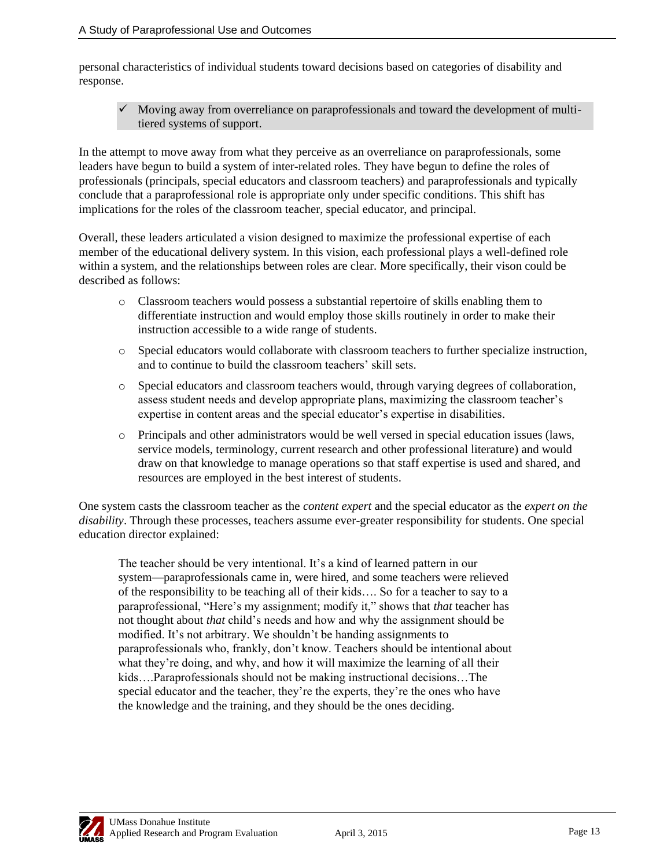personal characteristics of individual students toward decisions based on categories of disability and response.

 $\checkmark$  Moving away from overreliance on paraprofessionals and toward the development of multitiered systems of support.

In the attempt to move away from what they perceive as an overreliance on paraprofessionals, some leaders have begun to build a system of inter-related roles. They have begun to define the roles of professionals (principals, special educators and classroom teachers) and paraprofessionals and typically conclude that a paraprofessional role is appropriate only under specific conditions. This shift has implications for the roles of the classroom teacher, special educator, and principal.

Overall, these leaders articulated a vision designed to maximize the professional expertise of each member of the educational delivery system. In this vision, each professional plays a well-defined role within a system, and the relationships between roles are clear. More specifically, their vison could be described as follows:

- o Classroom teachers would possess a substantial repertoire of skills enabling them to differentiate instruction and would employ those skills routinely in order to make their instruction accessible to a wide range of students.
- o Special educators would collaborate with classroom teachers to further specialize instruction, and to continue to build the classroom teachers' skill sets.
- o Special educators and classroom teachers would, through varying degrees of collaboration, assess student needs and develop appropriate plans, maximizing the classroom teacher's expertise in content areas and the special educator's expertise in disabilities.
- o Principals and other administrators would be well versed in special education issues (laws, service models, terminology, current research and other professional literature) and would draw on that knowledge to manage operations so that staff expertise is used and shared, and resources are employed in the best interest of students.

One system casts the classroom teacher as the *content expert* and the special educator as the *expert on the disability*. Through these processes, teachers assume ever-greater responsibility for students. One special education director explained:

The teacher should be very intentional. It's a kind of learned pattern in our system—paraprofessionals came in, were hired, and some teachers were relieved of the responsibility to be teaching all of their kids…. So for a teacher to say to a paraprofessional, "Here's my assignment; modify it," shows that *that* teacher has not thought about *that* child's needs and how and why the assignment should be modified. It's not arbitrary. We shouldn't be handing assignments to paraprofessionals who, frankly, don't know. Teachers should be intentional about what they're doing, and why, and how it will maximize the learning of all their kids….Paraprofessionals should not be making instructional decisions…The special educator and the teacher, they're the experts, they're the ones who have the knowledge and the training, and they should be the ones deciding.

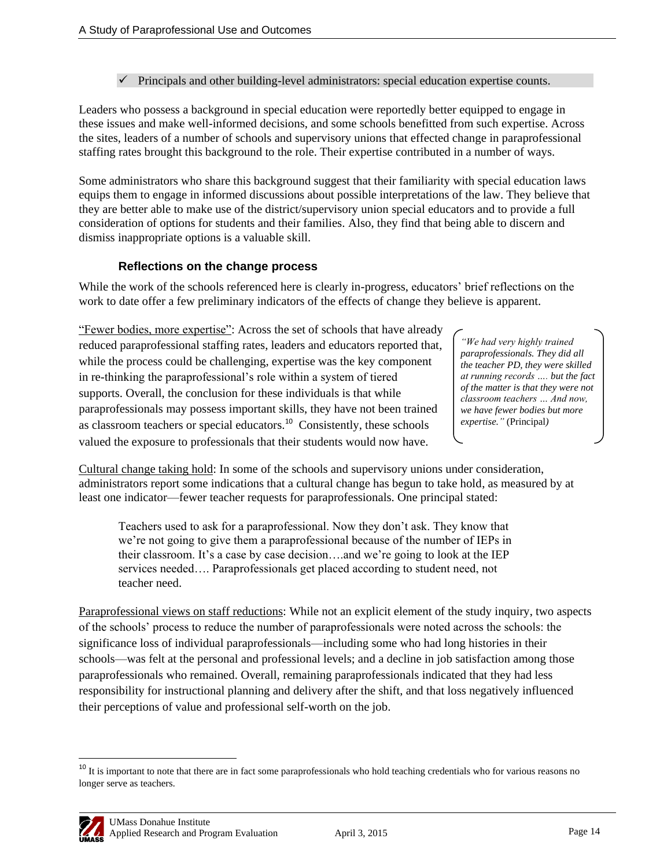#### $\checkmark$  Principals and other building-level administrators: special education expertise counts.

Leaders who possess a background in special education were reportedly better equipped to engage in these issues and make well-informed decisions, and some schools benefitted from such expertise. Across the sites, leaders of a number of schools and supervisory unions that effected change in paraprofessional staffing rates brought this background to the role. Their expertise contributed in a number of ways.

Some administrators who share this background suggest that their familiarity with special education laws equips them to engage in informed discussions about possible interpretations of the law. They believe that they are better able to make use of the district/supervisory union special educators and to provide a full consideration of options for students and their families. Also, they find that being able to discern and dismiss inappropriate options is a valuable skill.

#### **Reflections on the change process**

While the work of the schools referenced here is clearly in-progress, educators' brief reflections on the work to date offer a few preliminary indicators of the effects of change they believe is apparent.

"Fewer bodies, more expertise": Across the set of schools that have already reduced paraprofessional staffing rates, leaders and educators reported that, while the process could be challenging, expertise was the key component in re-thinking the paraprofessional's role within a system of tiered supports. Overall, the conclusion for these individuals is that while paraprofessionals may possess important skills, they have not been trained as classroom teachers or special educators. $10^{\circ}$  Consistently, these schools valued the exposure to professionals that their students would now have.

*"We had very highly trained paraprofessionals. They did all the teacher PD, they were skilled at running records …. but the fact of the matter is that they were not classroom teachers … And now, we have fewer bodies but more expertise."* (Principal*)*

Cultural change taking hold: In some of the schools and supervisory unions under consideration, administrators report some indications that a cultural change has begun to take hold, as measured by at least one indicator—fewer teacher requests for paraprofessionals. One principal stated:

Teachers used to ask for a paraprofessional. Now they don't ask. They know that we're not going to give them a paraprofessional because of the number of IEPs in their classroom. It's a case by case decision….and we're going to look at the IEP services needed…. Paraprofessionals get placed according to student need, not teacher need.

Paraprofessional views on staff reductions: While not an explicit element of the study inquiry, two aspects of the schools' process to reduce the number of paraprofessionals were noted across the schools: the significance loss of individual paraprofessionals—including some who had long histories in their schools—was felt at the personal and professional levels; and a decline in job satisfaction among those paraprofessionals who remained. Overall, remaining paraprofessionals indicated that they had less responsibility for instructional planning and delivery after the shift, and that loss negatively influenced their perceptions of value and professional self-worth on the job.

<sup>&</sup>lt;sup>10</sup> It is important to note that there are in fact some paraprofessionals who hold teaching credentials who for various reasons no longer serve as teachers.



 $\overline{\phantom{a}}$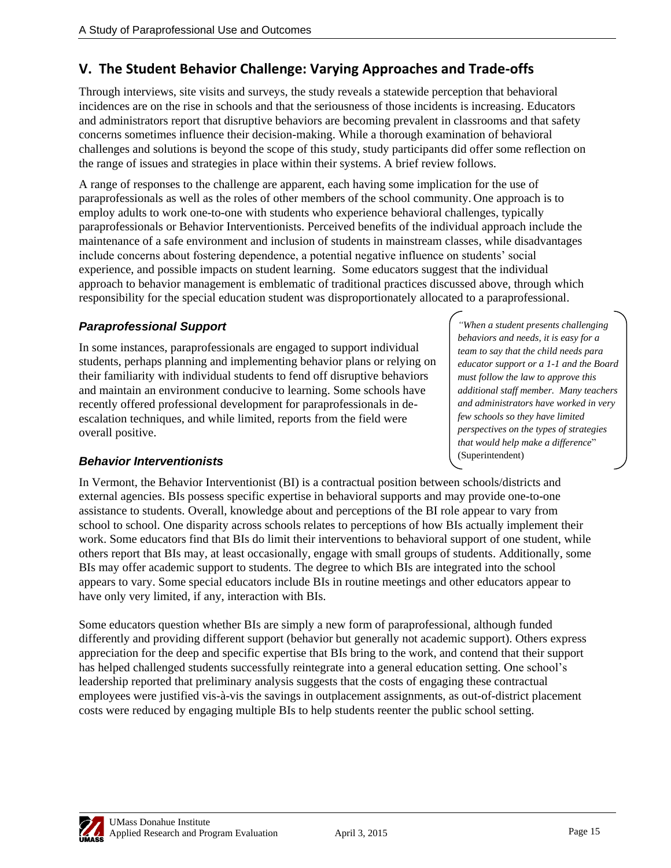## **V. The Student Behavior Challenge: Varying Approaches and Trade-offs**

Through interviews, site visits and surveys, the study reveals a statewide perception that behavioral incidences are on the rise in schools and that the seriousness of those incidents is increasing. Educators and administrators report that disruptive behaviors are becoming prevalent in classrooms and that safety concerns sometimes influence their decision-making. While a thorough examination of behavioral challenges and solutions is beyond the scope of this study, study participants did offer some reflection on the range of issues and strategies in place within their systems. A brief review follows.

A range of responses to the challenge are apparent, each having some implication for the use of paraprofessionals as well as the roles of other members of the school community. One approach is to employ adults to work one-to-one with students who experience behavioral challenges, typically paraprofessionals or Behavior Interventionists. Perceived benefits of the individual approach include the maintenance of a safe environment and inclusion of students in mainstream classes, while disadvantages include concerns about fostering dependence, a potential negative influence on students' social experience, and possible impacts on student learning. Some educators suggest that the individual approach to behavior management is emblematic of traditional practices discussed above, through which responsibility for the special education student was disproportionately allocated to a paraprofessional.

## *Paraprofessional Support*

In some instances, paraprofessionals are engaged to support individual students, perhaps planning and implementing behavior plans or relying on their familiarity with individual students to fend off disruptive behaviors and maintain an environment conducive to learning. Some schools have recently offered professional development for paraprofessionals in deescalation techniques, and while limited, reports from the field were overall positive.

## *Behavior Interventionists*

In Vermont, the Behavior Interventionist (BI) is a contractual position between schools/districts and external agencies. BIs possess specific expertise in behavioral supports and may provide one-to-one assistance to students. Overall, knowledge about and perceptions of the BI role appear to vary from school to school. One disparity across schools relates to perceptions of how BIs actually implement their work. Some educators find that BIs do limit their interventions to behavioral support of one student, while others report that BIs may, at least occasionally, engage with small groups of students. Additionally, some BIs may offer academic support to students. The degree to which BIs are integrated into the school appears to vary. Some special educators include BIs in routine meetings and other educators appear to have only very limited, if any, interaction with BIs.

Some educators question whether BIs are simply a new form of paraprofessional, although funded differently and providing different support (behavior but generally not academic support). Others express appreciation for the deep and specific expertise that BIs bring to the work, and contend that their support has helped challenged students successfully reintegrate into a general education setting. One school's leadership reported that preliminary analysis suggests that the costs of engaging these contractual employees were justified vis-à-vis the savings in outplacement assignments, as out-of-district placement costs were reduced by engaging multiple BIs to help students reenter the public school setting.

*"When a student presents challenging behaviors and needs, it is easy for a team to say that the child needs para educator support or a 1-1 and the Board must follow the law to approve this additional staff member. Many teachers and administrators have worked in very few schools so they have limited perspectives on the types of strategies that would help make a difference*" (Superintendent)

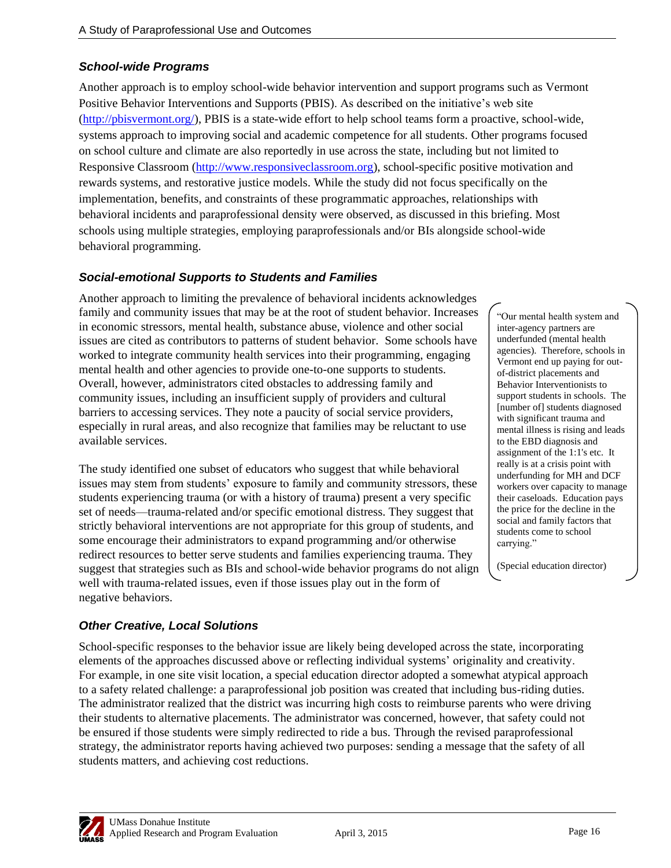## *School-wide Programs*

Another approach is to employ school-wide behavior intervention and support programs such as Vermont Positive Behavior Interventions and Supports (PBIS). As described on the initiative's web site [\(http://pbisvermont.org/\)](http://pbisvermont.org/), PBIS is a state-wide effort to help school teams form a proactive, school-wide, systems approach to improving social and academic competence for all students. Other programs focused on school culture and climate are also reportedly in use across the state, including but not limited to Responsive Classroom [\(http://www.responsiveclassroom.org\)](http://www.responsiveclassroom.org/), school-specific positive motivation and rewards systems, and restorative justice models. While the study did not focus specifically on the implementation, benefits, and constraints of these programmatic approaches, relationships with behavioral incidents and paraprofessional density were observed, as discussed in this briefing. Most schools using multiple strategies, employing paraprofessionals and/or BIs alongside school-wide behavioral programming.

#### *Social-emotional Supports to Students and Families*

Another approach to limiting the prevalence of behavioral incidents acknowledges family and community issues that may be at the root of student behavior. Increases in economic stressors, mental health, substance abuse, violence and other social issues are cited as contributors to patterns of student behavior. Some schools have worked to integrate community health services into their programming, engaging mental health and other agencies to provide one-to-one supports to students. Overall, however, administrators cited obstacles to addressing family and community issues, including an insufficient supply of providers and cultural barriers to accessing services. They note a paucity of social service providers, especially in rural areas, and also recognize that families may be reluctant to use available services.

The study identified one subset of educators who suggest that while behavioral issues may stem from students' exposure to family and community stressors, these students experiencing trauma (or with a history of trauma) present a very specific set of needs—trauma-related and/or specific emotional distress. They suggest that strictly behavioral interventions are not appropriate for this group of students, and some encourage their administrators to expand programming and/or otherwise redirect resources to better serve students and families experiencing trauma. They suggest that strategies such as BIs and school-wide behavior programs do not align well with trauma-related issues, even if those issues play out in the form of negative behaviors.

―Our mental health system and inter-agency partners are underfunded (mental health agencies). Therefore, schools in Vermont end up paying for outof-district placements and Behavior Interventionists to support students in schools. The [number of] students diagnosed with significant trauma and mental illness is rising and leads to the EBD diagnosis and assignment of the 1:1's etc. It really is at a crisis point with underfunding for MH and DCF workers over capacity to manage their caseloads. Education pays the price for the decline in the social and family factors that students come to school carrying."

(Special education director)

#### *Other Creative, Local Solutions*

School-specific responses to the behavior issue are likely being developed across the state, incorporating elements of the approaches discussed above or reflecting individual systems' originality and creativity. For example, in one site visit location, a special education director adopted a somewhat atypical approach to a safety related challenge: a paraprofessional job position was created that including bus-riding duties. The administrator realized that the district was incurring high costs to reimburse parents who were driving their students to alternative placements. The administrator was concerned, however, that safety could not be ensured if those students were simply redirected to ride a bus. Through the revised paraprofessional strategy, the administrator reports having achieved two purposes: sending a message that the safety of all students matters, and achieving cost reductions.

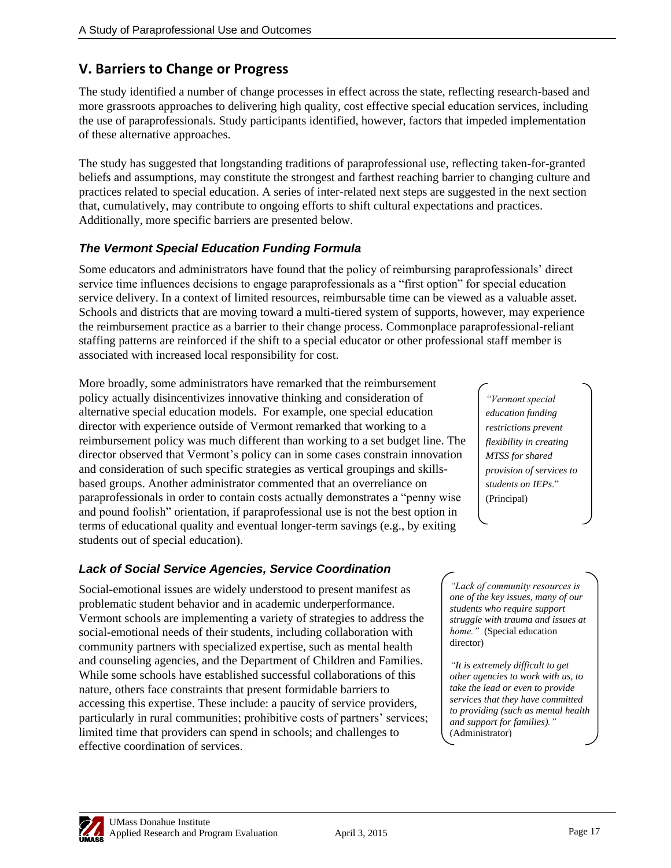## **V. Barriers to Change or Progress**

The study identified a number of change processes in effect across the state, reflecting research-based and more grassroots approaches to delivering high quality, cost effective special education services, including the use of paraprofessionals. Study participants identified, however, factors that impeded implementation of these alternative approaches.

The study has suggested that longstanding traditions of paraprofessional use, reflecting taken-for-granted beliefs and assumptions, may constitute the strongest and farthest reaching barrier to changing culture and practices related to special education. A series of inter-related next steps are suggested in the next section that, cumulatively, may contribute to ongoing efforts to shift cultural expectations and practices. Additionally, more specific barriers are presented below.

## *The Vermont Special Education Funding Formula*

Some educators and administrators have found that the policy of reimbursing paraprofessionals' direct service time influences decisions to engage paraprofessionals as a "first option" for special education service delivery. In a context of limited resources, reimbursable time can be viewed as a valuable asset. Schools and districts that are moving toward a multi-tiered system of supports, however, may experience the reimbursement practice as a barrier to their change process. Commonplace paraprofessional-reliant staffing patterns are reinforced if the shift to a special educator or other professional staff member is associated with increased local responsibility for cost.

More broadly, some administrators have remarked that the reimbursement policy actually disincentivizes innovative thinking and consideration of alternative special education models. For example, one special education director with experience outside of Vermont remarked that working to a reimbursement policy was much different than working to a set budget line. The director observed that Vermont's policy can in some cases constrain innovation and consideration of such specific strategies as vertical groupings and skillsbased groups. Another administrator commented that an overreliance on paraprofessionals in order to contain costs actually demonstrates a "penny wise and pound foolish" orientation, if paraprofessional use is not the best option in terms of educational quality and eventual longer-term savings (e.g., by exiting students out of special education).

## *Lack of Social Service Agencies, Service Coordination*

Social-emotional issues are widely understood to present manifest as problematic student behavior and in academic underperformance. Vermont schools are implementing a variety of strategies to address the social-emotional needs of their students, including collaboration with community partners with specialized expertise, such as mental health and counseling agencies, and the Department of Children and Families. While some schools have established successful collaborations of this nature, others face constraints that present formidable barriers to accessing this expertise. These include: a paucity of service providers, particularly in rural communities; prohibitive costs of partners' services; limited time that providers can spend in schools; and challenges to effective coordination of services.

*"Vermont special education funding restrictions prevent flexibility in creating MTSS for shared provision of services to*  students on IEP<sub>s.</sub>" (Principal)

*"Lack of community resources is one of the key issues, many of our students who require support struggle with trauma and issues at home."* (Special education director)

*"It is extremely difficult to get other agencies to work with us, to take the lead or even to provide services that they have committed to providing (such as mental health and support for families)."*  (Administrator)

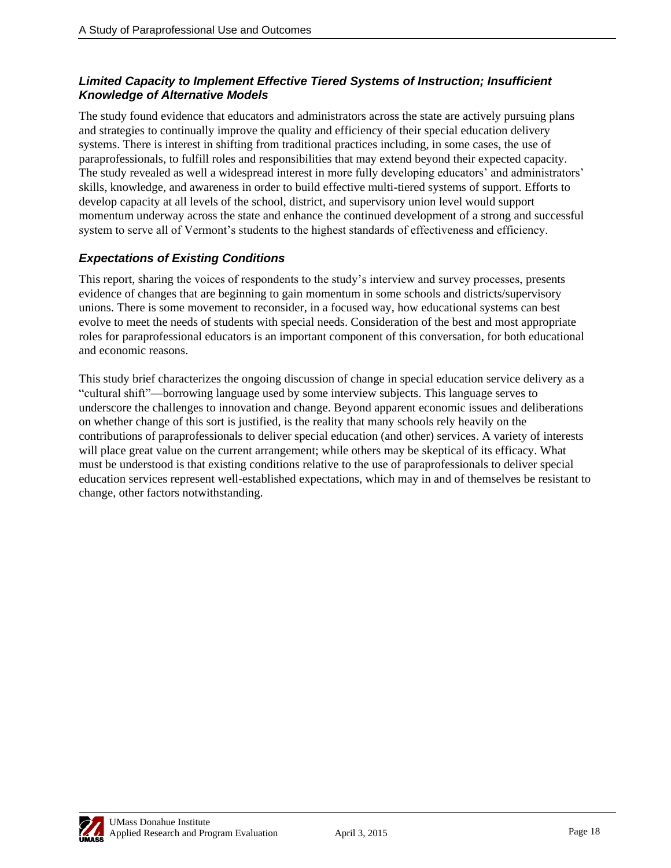#### *Limited Capacity to Implement Effective Tiered Systems of Instruction; Insufficient Knowledge of Alternative Models*

The study found evidence that educators and administrators across the state are actively pursuing plans and strategies to continually improve the quality and efficiency of their special education delivery systems. There is interest in shifting from traditional practices including, in some cases, the use of paraprofessionals, to fulfill roles and responsibilities that may extend beyond their expected capacity. The study revealed as well a widespread interest in more fully developing educators' and administrators' skills, knowledge, and awareness in order to build effective multi-tiered systems of support. Efforts to develop capacity at all levels of the school, district, and supervisory union level would support momentum underway across the state and enhance the continued development of a strong and successful system to serve all of Vermont's students to the highest standards of effectiveness and efficiency.

#### *Expectations of Existing Conditions*

This report, sharing the voices of respondents to the study's interview and survey processes, presents evidence of changes that are beginning to gain momentum in some schools and districts/supervisory unions. There is some movement to reconsider, in a focused way, how educational systems can best evolve to meet the needs of students with special needs. Consideration of the best and most appropriate roles for paraprofessional educators is an important component of this conversation, for both educational and economic reasons.

This study brief characterizes the ongoing discussion of change in special education service delivery as a ―cultural shift‖—borrowing language used by some interview subjects. This language serves to underscore the challenges to innovation and change. Beyond apparent economic issues and deliberations on whether change of this sort is justified, is the reality that many schools rely heavily on the contributions of paraprofessionals to deliver special education (and other) services. A variety of interests will place great value on the current arrangement; while others may be skeptical of its efficacy. What must be understood is that existing conditions relative to the use of paraprofessionals to deliver special education services represent well-established expectations, which may in and of themselves be resistant to change, other factors notwithstanding.

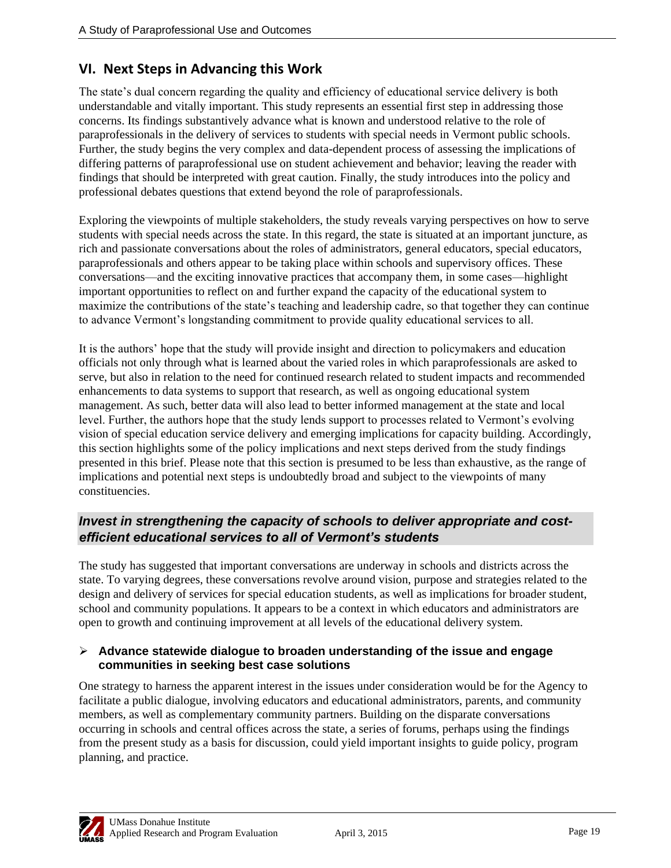## **VI. Next Steps in Advancing this Work**

The state's dual concern regarding the quality and efficiency of educational service delivery is both understandable and vitally important. This study represents an essential first step in addressing those concerns. Its findings substantively advance what is known and understood relative to the role of paraprofessionals in the delivery of services to students with special needs in Vermont public schools. Further, the study begins the very complex and data-dependent process of assessing the implications of differing patterns of paraprofessional use on student achievement and behavior; leaving the reader with findings that should be interpreted with great caution. Finally, the study introduces into the policy and professional debates questions that extend beyond the role of paraprofessionals.

Exploring the viewpoints of multiple stakeholders, the study reveals varying perspectives on how to serve students with special needs across the state. In this regard, the state is situated at an important juncture, as rich and passionate conversations about the roles of administrators, general educators, special educators, paraprofessionals and others appear to be taking place within schools and supervisory offices. These conversations—and the exciting innovative practices that accompany them, in some cases—highlight important opportunities to reflect on and further expand the capacity of the educational system to maximize the contributions of the state's teaching and leadership cadre, so that together they can continue to advance Vermont's longstanding commitment to provide quality educational services to all.

It is the authors' hope that the study will provide insight and direction to policymakers and education officials not only through what is learned about the varied roles in which paraprofessionals are asked to serve, but also in relation to the need for continued research related to student impacts and recommended enhancements to data systems to support that research, as well as ongoing educational system management. As such, better data will also lead to better informed management at the state and local level. Further, the authors hope that the study lends support to processes related to Vermont's evolving vision of special education service delivery and emerging implications for capacity building. Accordingly, this section highlights some of the policy implications and next steps derived from the study findings presented in this brief. Please note that this section is presumed to be less than exhaustive, as the range of implications and potential next steps is undoubtedly broad and subject to the viewpoints of many constituencies.

## *Invest in strengthening the capacity of schools to deliver appropriate and costefficient educational services to all of Vermont's students*

The study has suggested that important conversations are underway in schools and districts across the state. To varying degrees, these conversations revolve around vision, purpose and strategies related to the design and delivery of services for special education students, as well as implications for broader student, school and community populations. It appears to be a context in which educators and administrators are open to growth and continuing improvement at all levels of the educational delivery system.

#### **Advance statewide dialogue to broaden understanding of the issue and engage communities in seeking best case solutions**

One strategy to harness the apparent interest in the issues under consideration would be for the Agency to facilitate a public dialogue, involving educators and educational administrators, parents, and community members, as well as complementary community partners. Building on the disparate conversations occurring in schools and central offices across the state, a series of forums, perhaps using the findings from the present study as a basis for discussion, could yield important insights to guide policy, program planning, and practice.

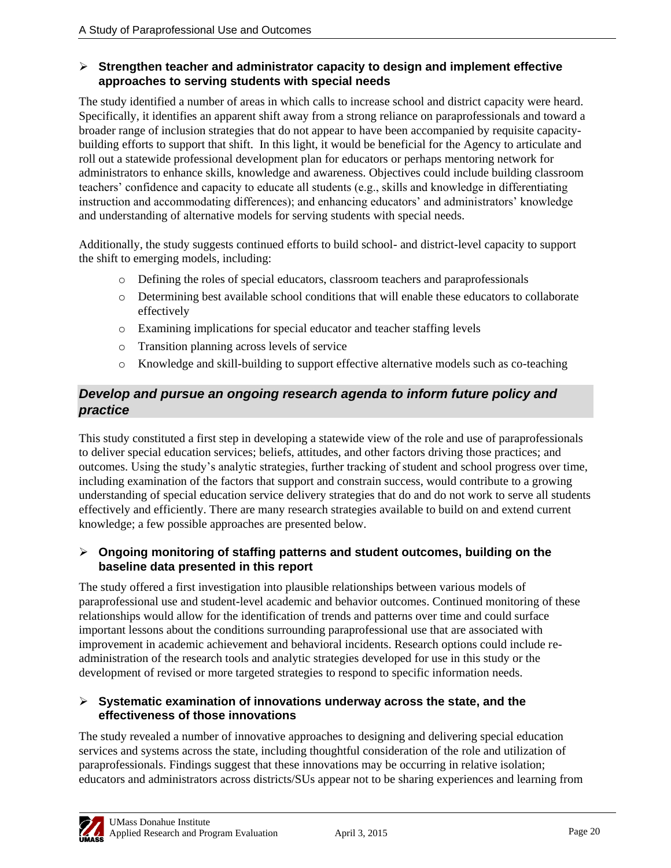#### **Strengthen teacher and administrator capacity to design and implement effective approaches to serving students with special needs**

The study identified a number of areas in which calls to increase school and district capacity were heard. Specifically, it identifies an apparent shift away from a strong reliance on paraprofessionals and toward a broader range of inclusion strategies that do not appear to have been accompanied by requisite capacitybuilding efforts to support that shift. In this light, it would be beneficial for the Agency to articulate and roll out a statewide professional development plan for educators or perhaps mentoring network for administrators to enhance skills, knowledge and awareness. Objectives could include building classroom teachers' confidence and capacity to educate all students (e.g., skills and knowledge in differentiating instruction and accommodating differences); and enhancing educators' and administrators' knowledge and understanding of alternative models for serving students with special needs.

Additionally, the study suggests continued efforts to build school- and district-level capacity to support the shift to emerging models, including:

- o Defining the roles of special educators, classroom teachers and paraprofessionals
- o Determining best available school conditions that will enable these educators to collaborate effectively
- o Examining implications for special educator and teacher staffing levels
- o Transition planning across levels of service
- o Knowledge and skill-building to support effective alternative models such as co-teaching

## *Develop and pursue an ongoing research agenda to inform future policy and practice*

This study constituted a first step in developing a statewide view of the role and use of paraprofessionals to deliver special education services; beliefs, attitudes, and other factors driving those practices; and outcomes. Using the study's analytic strategies, further tracking of student and school progress over time, including examination of the factors that support and constrain success, would contribute to a growing understanding of special education service delivery strategies that do and do not work to serve all students effectively and efficiently. There are many research strategies available to build on and extend current knowledge; a few possible approaches are presented below.

#### **Ongoing monitoring of staffing patterns and student outcomes, building on the baseline data presented in this report**

The study offered a first investigation into plausible relationships between various models of paraprofessional use and student-level academic and behavior outcomes. Continued monitoring of these relationships would allow for the identification of trends and patterns over time and could surface important lessons about the conditions surrounding paraprofessional use that are associated with improvement in academic achievement and behavioral incidents. Research options could include readministration of the research tools and analytic strategies developed for use in this study or the development of revised or more targeted strategies to respond to specific information needs.

#### **Systematic examination of innovations underway across the state, and the effectiveness of those innovations**

The study revealed a number of innovative approaches to designing and delivering special education services and systems across the state, including thoughtful consideration of the role and utilization of paraprofessionals. Findings suggest that these innovations may be occurring in relative isolation; educators and administrators across districts/SUs appear not to be sharing experiences and learning from

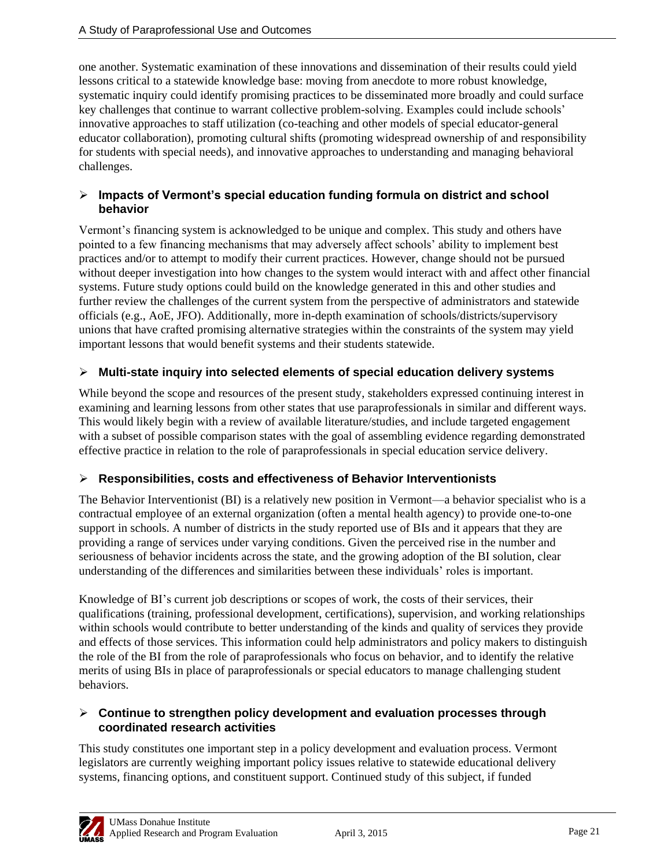one another. Systematic examination of these innovations and dissemination of their results could yield lessons critical to a statewide knowledge base: moving from anecdote to more robust knowledge, systematic inquiry could identify promising practices to be disseminated more broadly and could surface key challenges that continue to warrant collective problem-solving. Examples could include schools' innovative approaches to staff utilization (co-teaching and other models of special educator-general educator collaboration), promoting cultural shifts (promoting widespread ownership of and responsibility for students with special needs), and innovative approaches to understanding and managing behavioral challenges.

#### **Impacts of Vermont's special education funding formula on district and school behavior**

Vermont's financing system is acknowledged to be unique and complex. This study and others have pointed to a few financing mechanisms that may adversely affect schools' ability to implement best practices and/or to attempt to modify their current practices. However, change should not be pursued without deeper investigation into how changes to the system would interact with and affect other financial systems. Future study options could build on the knowledge generated in this and other studies and further review the challenges of the current system from the perspective of administrators and statewide officials (e.g., AoE, JFO). Additionally, more in-depth examination of schools/districts/supervisory unions that have crafted promising alternative strategies within the constraints of the system may yield important lessons that would benefit systems and their students statewide.

### **Multi-state inquiry into selected elements of special education delivery systems**

While beyond the scope and resources of the present study, stakeholders expressed continuing interest in examining and learning lessons from other states that use paraprofessionals in similar and different ways. This would likely begin with a review of available literature/studies, and include targeted engagement with a subset of possible comparison states with the goal of assembling evidence regarding demonstrated effective practice in relation to the role of paraprofessionals in special education service delivery.

#### **Responsibilities, costs and effectiveness of Behavior Interventionists**

The Behavior Interventionist (BI) is a relatively new position in Vermont—a behavior specialist who is a contractual employee of an external organization (often a mental health agency) to provide one-to-one support in schools. A number of districts in the study reported use of BIs and it appears that they are providing a range of services under varying conditions. Given the perceived rise in the number and seriousness of behavior incidents across the state, and the growing adoption of the BI solution, clear understanding of the differences and similarities between these individuals' roles is important.

Knowledge of BI's current job descriptions or scopes of work, the costs of their services, their qualifications (training, professional development, certifications), supervision, and working relationships within schools would contribute to better understanding of the kinds and quality of services they provide and effects of those services. This information could help administrators and policy makers to distinguish the role of the BI from the role of paraprofessionals who focus on behavior, and to identify the relative merits of using BIs in place of paraprofessionals or special educators to manage challenging student behaviors.

#### **Continue to strengthen policy development and evaluation processes through coordinated research activities**

This study constitutes one important step in a policy development and evaluation process. Vermont legislators are currently weighing important policy issues relative to statewide educational delivery systems, financing options, and constituent support. Continued study of this subject, if funded